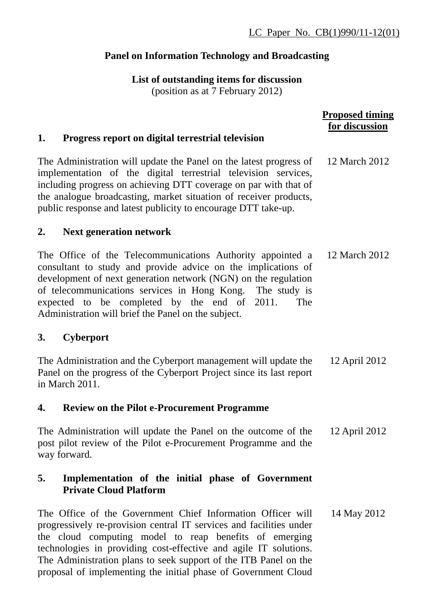# **Panel on Information Technology and Broadcasting**

**List of outstanding items for discussion**  (position as at 7 February 2012)

|                                                                                                                                                                                                                                                                                                                                                                                                        | <b>Proposed timing</b><br>for discussion |
|--------------------------------------------------------------------------------------------------------------------------------------------------------------------------------------------------------------------------------------------------------------------------------------------------------------------------------------------------------------------------------------------------------|------------------------------------------|
| Progress report on digital terrestrial television<br>1.                                                                                                                                                                                                                                                                                                                                                |                                          |
| The Administration will update the Panel on the latest progress of<br>implementation of the digital terrestrial television services,<br>including progress on achieving DTT coverage on par with that of<br>the analogue broadcasting, market situation of receiver products,<br>public response and latest publicity to encourage DTT take-up.                                                        | 12 March 2012                            |
| <b>Next generation network</b><br>2.                                                                                                                                                                                                                                                                                                                                                                   |                                          |
| The Office of the Telecommunications Authority appointed a<br>consultant to study and provide advice on the implications of<br>development of next generation network (NGN) on the regulation<br>of telecommunications services in Hong Kong. The study is<br>expected to be completed by the end of 2011.<br>The<br>Administration will brief the Panel on the subject.                               | 12 March 2012                            |
| <b>Cyberport</b><br>3.                                                                                                                                                                                                                                                                                                                                                                                 |                                          |
| The Administration and the Cyberport management will update the<br>Panel on the progress of the Cyberport Project since its last report<br>in March 2011.                                                                                                                                                                                                                                              | 12 April 2012                            |
| <b>Review on the Pilot e-Procurement Programme</b><br>4.                                                                                                                                                                                                                                                                                                                                               |                                          |
| The Administration will update the Panel on the outcome of the<br>post pilot review of the Pilot e-Procurement Programme and the<br>way forward.                                                                                                                                                                                                                                                       | 12 April 2012                            |
| 5.<br>Implementation of the initial phase of Government<br><b>Private Cloud Platform</b>                                                                                                                                                                                                                                                                                                               |                                          |
| The Office of the Government Chief Information Officer will<br>progressively re-provision central IT services and facilities under<br>the cloud computing model to reap benefits of emerging<br>technologies in providing cost-effective and agile IT solutions.<br>The Administration plans to seek support of the ITB Panel on the<br>proposal of implementing the initial phase of Government Cloud | 14 May 2012                              |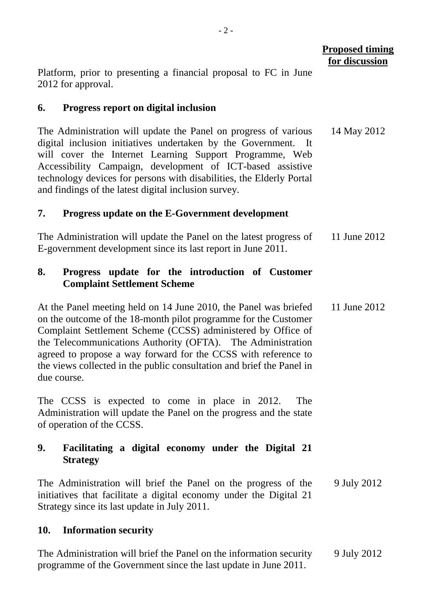Platform, prior to presenting a financial proposal to FC in June 2012 for approval.

### **6. Progress report on digital inclusion**

The Administration will update the Panel on progress of various digital inclusion initiatives undertaken by the Government. will cover the Internet Learning Support Programme, Web Accessibility Campaign, development of ICT-based assistive technology devices for persons with disabilities, the Elderly Portal and findings of the latest digital inclusion survey. 14 May 2012

### **7. Progress update on the E-Government development**

The Administration will update the Panel on the latest progress of E-government development since its last report in June 2011. 11 June 2012

### **8. Progress update for the introduction of Customer Complaint Settlement Scheme**

At the Panel meeting held on 14 June 2010, the Panel was briefed on the outcome of the 18-month pilot programme for the Customer Complaint Settlement Scheme (CCSS) administered by Office of the Telecommunications Authority (OFTA). The Administration agreed to propose a way forward for the CCSS with reference to the views collected in the public consultation and brief the Panel in due course. 11 June 2012

The CCSS is expected to come in place in 2012. The Administration will update the Panel on the progress and the state of operation of the CCSS.

### **9. Facilitating a digital economy under the Digital 21 Strategy**

The Administration will brief the Panel on the progress of the initiatives that facilitate a digital economy under the Digital 21 Strategy since its last update in July 2011. 9 July 2012

# **10. Information security**

The Administration will brief the Panel on the information security programme of the Government since the last update in June 2011. 9 July 2012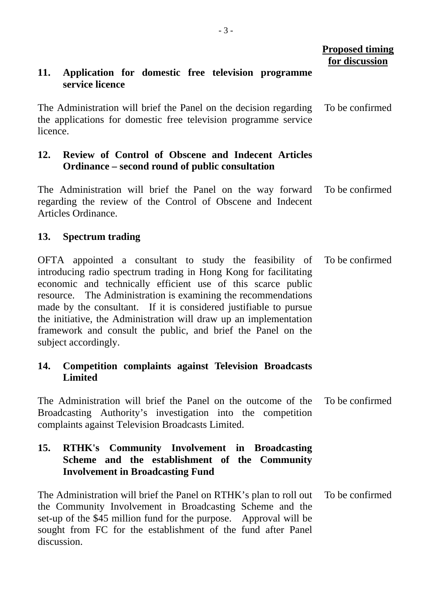# **Proposed timing for discussion**

#### **11. Application for domestic free television programme service licence**

The Administration will brief the Panel on the decision regarding the applications for domestic free television programme service licence. To be confirmed

# **12. Review of Control of Obscene and Indecent Articles Ordinance – second round of public consultation**

The Administration will brief the Panel on the way forward regarding the review of the Control of Obscene and Indecent Articles Ordinance. To be confirmed

### **13. Spectrum trading**

OFTA appointed a consultant to study the feasibility of introducing radio spectrum trading in Hong Kong for facilitating economic and technically efficient use of this scarce public resource. The Administration is examining the recommendations made by the consultant. If it is considered justifiable to pursue the initiative, the Administration will draw up an implementation framework and consult the public, and brief the Panel on the subject accordingly. To be confirmed

### **14. Competition complaints against Television Broadcasts Limited**

The Administration will brief the Panel on the outcome of the Broadcasting Authority's investigation into the competition complaints against Television Broadcasts Limited. To be confirmed

#### **15. RTHK's Community Involvement in Broadcasting Scheme and the establishment of the Community Involvement in Broadcasting Fund**

The Administration will brief the Panel on RTHK's plan to roll out the Community Involvement in Broadcasting Scheme and the set-up of the \$45 million fund for the purpose. Approval will be sought from FC for the establishment of the fund after Panel discussion. To be confirmed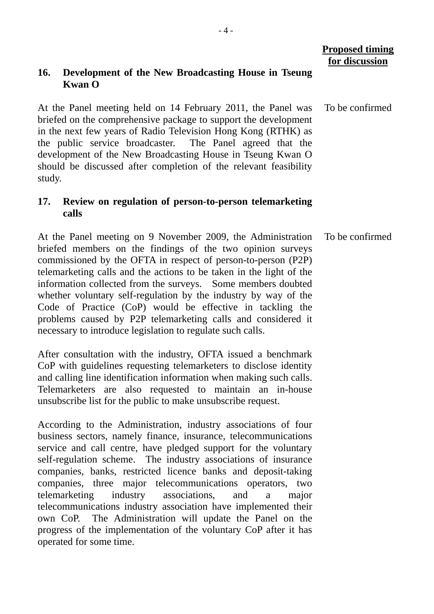### **Proposed timing for discussion**

#### **16. Development of the New Broadcasting House in Tseung Kwan O**

At the Panel meeting held on 14 February 2011, the Panel was briefed on the comprehensive package to support the development in the next few years of Radio Television Hong Kong (RTHK) as the public service broadcaster. The Panel agreed that the development of the New Broadcasting House in Tseung Kwan O should be discussed after completion of the relevant feasibility study. To be confirmed

#### **17. Review on regulation of person-to-person telemarketing calls**

At the Panel meeting on 9 November 2009, the Administration briefed members on the findings of the two opinion surveys commissioned by the OFTA in respect of person-to-person (P2P) telemarketing calls and the actions to be taken in the light of the information collected from the surveys. Some members doubted whether voluntary self-regulation by the industry by way of the Code of Practice (CoP) would be effective in tackling the problems caused by P2P telemarketing calls and considered it necessary to introduce legislation to regulate such calls. To be confirmed

After consultation with the industry, OFTA issued a benchmark CoP with guidelines requesting telemarketers to disclose identity and calling line identification information when making such calls. Telemarketers are also requested to maintain an in-house unsubscribe list for the public to make unsubscribe request.

According to the Administration, industry associations of four business sectors, namely finance, insurance, telecommunications service and call centre, have pledged support for the voluntary self-regulation scheme. The industry associations of insurance companies, banks, restricted licence banks and deposit-taking companies, three major telecommunications operators, two telemarketing industry associations, and a major telecommunications industry association have implemented their own CoP. The Administration will update the Panel on the progress of the implementation of the voluntary CoP after it has operated for some time.